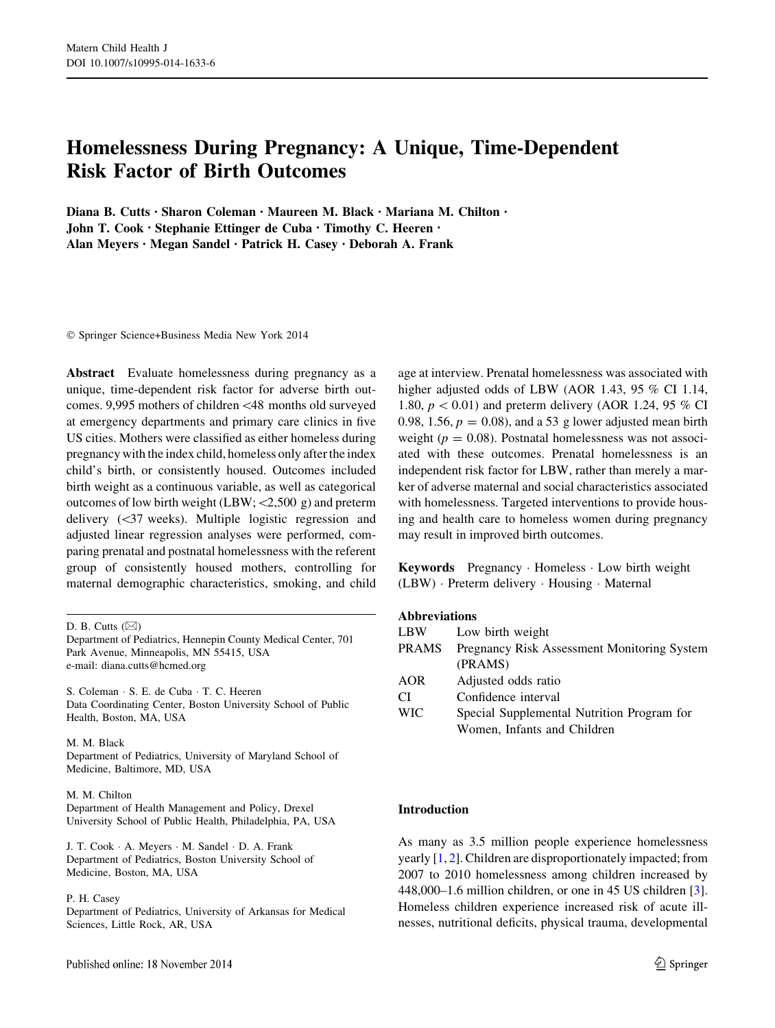# Homelessness During Pregnancy: A Unique, Time-Dependent Risk Factor of Birth Outcomes

Diana B. Cutts • Sharon Coleman • Maureen M. Black • Mariana M. Chilton • John T. Cook • Stephanie Ettinger de Cuba • Timothy C. Heeren • Alan Meyers • Megan Sandel • Patrick H. Casey • Deborah A. Frank

- Springer Science+Business Media New York 2014

Abstract Evaluate homelessness during pregnancy as a unique, time-dependent risk factor for adverse birth outcomes. 9,995 mothers of children\48 months old surveyed at emergency departments and primary care clinics in five US cities. Mothers were classified as either homeless during pregnancy with the index child, homeless only after the index child's birth, or consistently housed. Outcomes included birth weight as a continuous variable, as well as categorical outcomes of low birth weight (LBW;  $\langle 2,500 \text{ g} \rangle$  and preterm delivery  $(\leq 37$  weeks). Multiple logistic regression and adjusted linear regression analyses were performed, comparing prenatal and postnatal homelessness with the referent group of consistently housed mothers, controlling for maternal demographic characteristics, smoking, and child

S. Coleman - S. E. de Cuba - T. C. Heeren Data Coordinating Center, Boston University School of Public Health, Boston, MA, USA

M. M. Black Department of Pediatrics, University of Maryland School of Medicine, Baltimore, MD, USA

#### M. M. Chilton

Department of Health Management and Policy, Drexel University School of Public Health, Philadelphia, PA, USA

J. T. Cook - A. Meyers - M. Sandel - D. A. Frank Department of Pediatrics, Boston University School of Medicine, Boston, MA, USA

#### P. H. Casey

Department of Pediatrics, University of Arkansas for Medical Sciences, Little Rock, AR, USA

age at interview. Prenatal homelessness was associated with higher adjusted odds of LBW (AOR 1.43, 95 % CI 1.14, 1.80,  $p < 0.01$ ) and preterm delivery (AOR 1.24, 95 % CI 0.98, 1.56,  $p = 0.08$ , and a 53 g lower adjusted mean birth weight ( $p = 0.08$ ). Postnatal homelessness was not associated with these outcomes. Prenatal homelessness is an independent risk factor for LBW, rather than merely a marker of adverse maternal and social characteristics associated with homelessness. Targeted interventions to provide housing and health care to homeless women during pregnancy may result in improved birth outcomes.

Keywords Pregnancy - Homeless - Low birth weight (LBW) - Preterm delivery - Housing - Maternal

#### Abbreviations

| LBW.         | Low birth weight                            |
|--------------|---------------------------------------------|
| <b>PRAMS</b> | Pregnancy Risk Assessment Monitoring System |
|              | (PRAMS)                                     |
| <b>AOR</b>   | Adjusted odds ratio                         |
| CI           | Confidence interval                         |
| <b>WIC</b>   | Special Supplemental Nutrition Program for  |
|              | Women, Infants and Children                 |
|              |                                             |

# Introduction

As many as 3.5 million people experience homelessness yearly [\[1](#page-6-0), [2](#page-6-0)]. Children are disproportionately impacted; from 2007 to 2010 homelessness among children increased by 448,000–1.6 million children, or one in 45 US children [\[3](#page-6-0)]. Homeless children experience increased risk of acute illnesses, nutritional deficits, physical trauma, developmental

D. B. Cutts  $(\boxtimes)$ 

Department of Pediatrics, Hennepin County Medical Center, 701 Park Avenue, Minneapolis, MN 55415, USA e-mail: diana.cutts@hcmed.org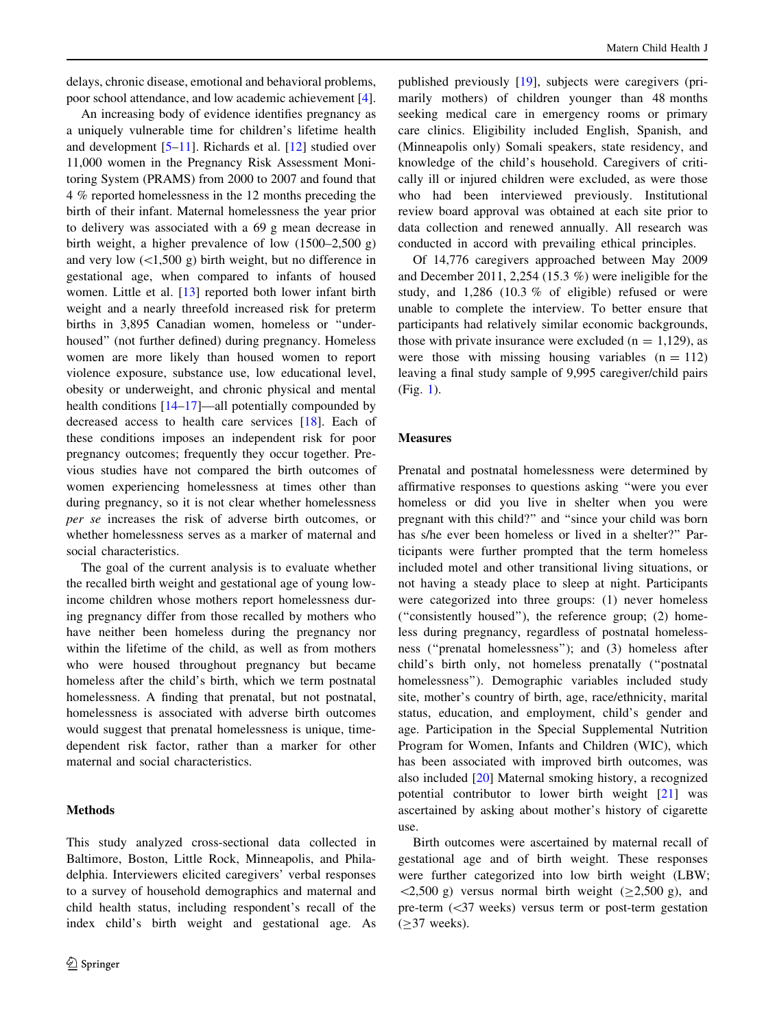delays, chronic disease, emotional and behavioral problems, poor school attendance, and low academic achievement [\[4](#page-6-0)].

An increasing body of evidence identifies pregnancy as a uniquely vulnerable time for children's lifetime health and development [\[5–11](#page-6-0)]. Richards et al. [\[12](#page-6-0)] studied over 11,000 women in the Pregnancy Risk Assessment Monitoring System (PRAMS) from 2000 to 2007 and found that 4 % reported homelessness in the 12 months preceding the birth of their infant. Maternal homelessness the year prior to delivery was associated with a 69 g mean decrease in birth weight, a higher prevalence of low (1500–2,500 g) and very low  $(\leq1,500 \text{ g})$  birth weight, but no difference in gestational age, when compared to infants of housed women. Little et al. [\[13](#page-6-0)] reported both lower infant birth weight and a nearly threefold increased risk for preterm births in 3,895 Canadian women, homeless or ''underhoused'' (not further defined) during pregnancy. Homeless women are more likely than housed women to report violence exposure, substance use, low educational level, obesity or underweight, and chronic physical and mental health conditions  $[14–17]$  $[14–17]$ —all potentially compounded by decreased access to health care services [[18\]](#page-6-0). Each of these conditions imposes an independent risk for poor pregnancy outcomes; frequently they occur together. Previous studies have not compared the birth outcomes of women experiencing homelessness at times other than during pregnancy, so it is not clear whether homelessness per se increases the risk of adverse birth outcomes, or whether homelessness serves as a marker of maternal and social characteristics.

The goal of the current analysis is to evaluate whether the recalled birth weight and gestational age of young lowincome children whose mothers report homelessness during pregnancy differ from those recalled by mothers who have neither been homeless during the pregnancy nor within the lifetime of the child, as well as from mothers who were housed throughout pregnancy but became homeless after the child's birth, which we term postnatal homelessness. A finding that prenatal, but not postnatal, homelessness is associated with adverse birth outcomes would suggest that prenatal homelessness is unique, timedependent risk factor, rather than a marker for other maternal and social characteristics.

# Methods

This study analyzed cross-sectional data collected in Baltimore, Boston, Little Rock, Minneapolis, and Philadelphia. Interviewers elicited caregivers' verbal responses to a survey of household demographics and maternal and child health status, including respondent's recall of the index child's birth weight and gestational age. As

published previously [[19\]](#page-6-0), subjects were caregivers (primarily mothers) of children younger than 48 months seeking medical care in emergency rooms or primary care clinics. Eligibility included English, Spanish, and (Minneapolis only) Somali speakers, state residency, and knowledge of the child's household. Caregivers of critically ill or injured children were excluded, as were those who had been interviewed previously. Institutional review board approval was obtained at each site prior to data collection and renewed annually. All research was conducted in accord with prevailing ethical principles.

Of 14,776 caregivers approached between May 2009 and December 2011, 2,254 (15.3 %) were ineligible for the study, and 1,286 (10.3 % of eligible) refused or were unable to complete the interview. To better ensure that participants had relatively similar economic backgrounds, those with private insurance were excluded  $(n = 1,129)$ , as were those with missing housing variables  $(n = 112)$ leaving a final study sample of 9,995 caregiver/child pairs (Fig. [1\)](#page-2-0).

### Measures

Prenatal and postnatal homelessness were determined by affirmative responses to questions asking ''were you ever homeless or did you live in shelter when you were pregnant with this child?'' and ''since your child was born has s/he ever been homeless or lived in a shelter?'' Participants were further prompted that the term homeless included motel and other transitional living situations, or not having a steady place to sleep at night. Participants were categorized into three groups: (1) never homeless (''consistently housed''), the reference group; (2) homeless during pregnancy, regardless of postnatal homelessness (''prenatal homelessness''); and (3) homeless after child's birth only, not homeless prenatally (''postnatal homelessness''). Demographic variables included study site, mother's country of birth, age, race/ethnicity, marital status, education, and employment, child's gender and age. Participation in the Special Supplemental Nutrition Program for Women, Infants and Children (WIC), which has been associated with improved birth outcomes, was also included [\[20](#page-6-0)] Maternal smoking history, a recognized potential contributor to lower birth weight [\[21](#page-6-0)] was ascertained by asking about mother's history of cigarette use.

Birth outcomes were ascertained by maternal recall of gestational age and of birth weight. These responses were further categorized into low birth weight (LBW;  $\langle 2,500 \text{ g} \rangle$  versus normal birth weight ( $\geq 2,500 \text{ g}$ ), and pre-term  $(\leq 37$  weeks) versus term or post-term gestation  $(\geq)37$  weeks).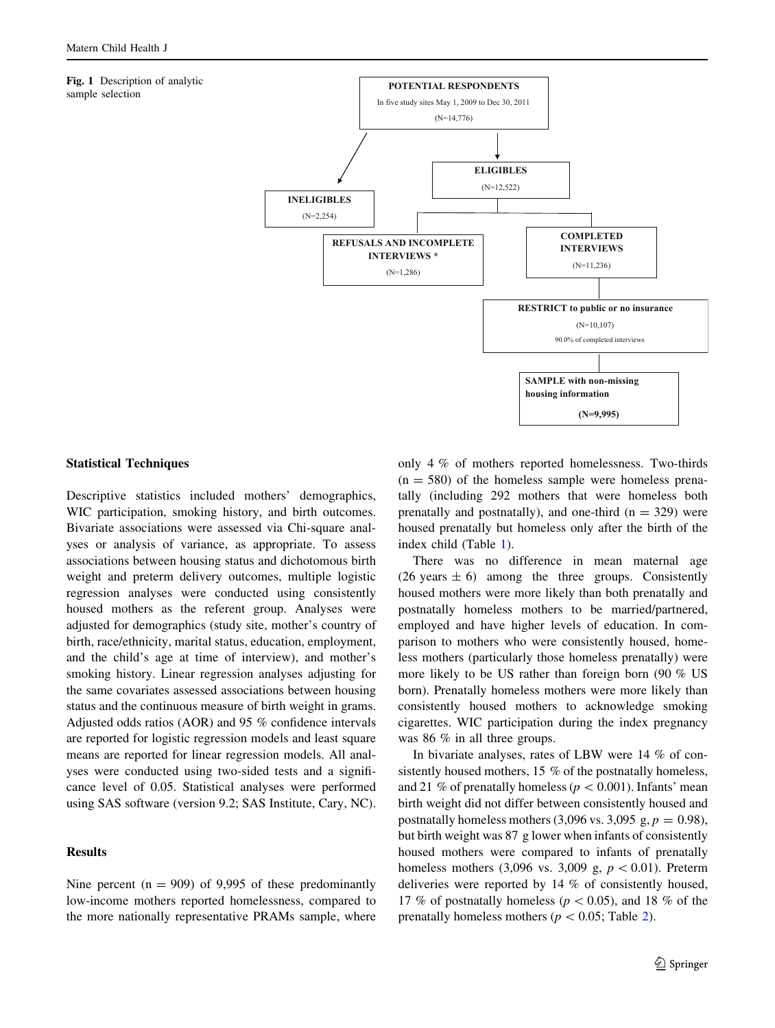#### <span id="page-2-0"></span>Fig. 1 Description of analytic sample selection



## Statistical Techniques

Descriptive statistics included mothers' demographics, WIC participation, smoking history, and birth outcomes. Bivariate associations were assessed via Chi-square analyses or analysis of variance, as appropriate. To assess associations between housing status and dichotomous birth weight and preterm delivery outcomes, multiple logistic regression analyses were conducted using consistently housed mothers as the referent group. Analyses were adjusted for demographics (study site, mother's country of birth, race/ethnicity, marital status, education, employment, and the child's age at time of interview), and mother's smoking history. Linear regression analyses adjusting for the same covariates assessed associations between housing status and the continuous measure of birth weight in grams. Adjusted odds ratios (AOR) and 95 % confidence intervals are reported for logistic regression models and least square means are reported for linear regression models. All analyses were conducted using two-sided tests and a significance level of 0.05. Statistical analyses were performed using SAS software (version 9.2; SAS Institute, Cary, NC).

## Results

Nine percent  $(n = 909)$  of 9,995 of these predominantly low-income mothers reported homelessness, compared to the more nationally representative PRAMs sample, where only 4 % of mothers reported homelessness. Two-thirds  $(n = 580)$  of the homeless sample were homeless prenatally (including 292 mothers that were homeless both prenatally and postnatally), and one-third  $(n = 329)$  were housed prenatally but homeless only after the birth of the index child (Table [1\)](#page-3-0).

There was no difference in mean maternal age (26 years  $\pm$  6) among the three groups. Consistently housed mothers were more likely than both prenatally and postnatally homeless mothers to be married/partnered, employed and have higher levels of education. In comparison to mothers who were consistently housed, homeless mothers (particularly those homeless prenatally) were more likely to be US rather than foreign born (90 % US born). Prenatally homeless mothers were more likely than consistently housed mothers to acknowledge smoking cigarettes. WIC participation during the index pregnancy was 86 % in all three groups.

In bivariate analyses, rates of LBW were 14 % of consistently housed mothers, 15 % of the postnatally homeless, and 21 % of prenatally homeless ( $p < 0.001$ ). Infants' mean birth weight did not differ between consistently housed and postnatally homeless mothers (3,096 vs. 3,095 g,  $p = 0.98$ ), but birth weight was 87 g lower when infants of consistently housed mothers were compared to infants of prenatally homeless mothers (3,096 vs. 3,009 g,  $p < 0.01$ ). Preterm deliveries were reported by 14 % of consistently housed, 17 % of postnatally homeless ( $p < 0.05$ ), and 18 % of the prenatally homeless mothers ( $p < 0.05$ ; Table [2\)](#page-4-0).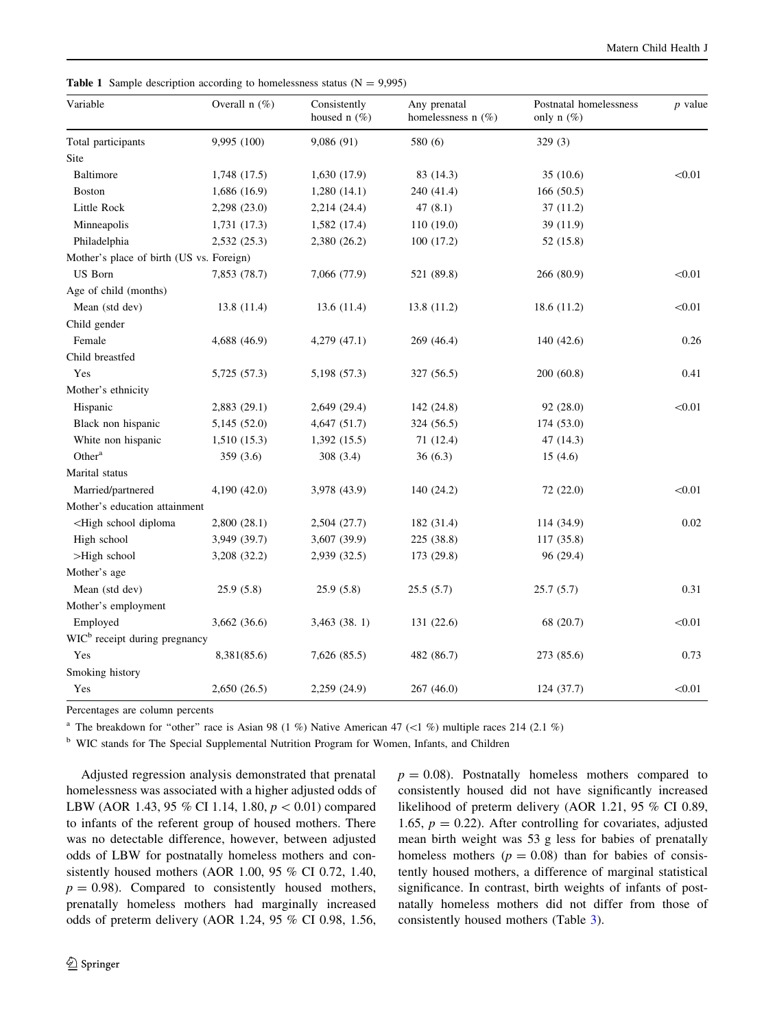| Variable                                                                                                                              | Overall $n$ (%) | Consistently<br>housed $n$ (%) | Any prenatal<br>homelessness n (%) | Postnatal homelessness<br>only $n$ (%) | <i>p</i> value |
|---------------------------------------------------------------------------------------------------------------------------------------|-----------------|--------------------------------|------------------------------------|----------------------------------------|----------------|
| Total participants                                                                                                                    | 9,995 (100)     | 9,086 (91)                     | 580 (6)                            | 329(3)                                 |                |
| Site                                                                                                                                  |                 |                                |                                    |                                        |                |
| Baltimore                                                                                                                             | 1,748 (17.5)    | 1,630 (17.9)                   | 83 (14.3)                          | 35(10.6)                               | < 0.01         |
| <b>Boston</b>                                                                                                                         | 1,686 (16.9)    | 1,280(14.1)                    | 240 (41.4)                         | 166(50.5)                              |                |
| Little Rock                                                                                                                           | 2,298 (23.0)    | 2,214 (24.4)                   | 47(8.1)                            | 37(11.2)                               |                |
| Minneapolis                                                                                                                           | 1,731(17.3)     | 1,582 (17.4)                   | 110 (19.0)                         | 39 (11.9)                              |                |
| Philadelphia                                                                                                                          | 2,532 (25.3)    | 2,380 (26.2)                   | 100(17.2)                          | 52 (15.8)                              |                |
| Mother's place of birth (US vs. Foreign)                                                                                              |                 |                                |                                    |                                        |                |
| <b>US</b> Born                                                                                                                        | 7,853 (78.7)    | 7,066 (77.9)                   | 521 (89.8)                         | 266 (80.9)                             | < 0.01         |
| Age of child (months)                                                                                                                 |                 |                                |                                    |                                        |                |
| Mean (std dev)                                                                                                                        | 13.8 (11.4)     | 13.6(11.4)                     | 13.8 (11.2)                        | 18.6 (11.2)                            | < 0.01         |
| Child gender                                                                                                                          |                 |                                |                                    |                                        |                |
| Female                                                                                                                                | 4,688 (46.9)    | 4,279(47.1)                    | 269 (46.4)                         | 140 (42.6)                             | 0.26           |
| Child breastfed                                                                                                                       |                 |                                |                                    |                                        |                |
| Yes                                                                                                                                   | 5,725 (57.3)    | 5,198 (57.3)                   | 327 (56.5)                         | 200 (60.8)                             | 0.41           |
| Mother's ethnicity                                                                                                                    |                 |                                |                                    |                                        |                |
| Hispanic                                                                                                                              | 2,883 (29.1)    | 2,649 (29.4)                   | 142 (24.8)                         | 92 (28.0)                              | < 0.01         |
| Black non hispanic                                                                                                                    | 5,145 (52.0)    | 4,647 (51.7)                   | 324 (56.5)                         | 174 (53.0)                             |                |
| White non hispanic                                                                                                                    | 1,510(15.3)     | 1,392(15.5)                    | 71 (12.4)                          | 47 (14.3)                              |                |
| Other <sup>a</sup>                                                                                                                    | 359 (3.6)       | 308 (3.4)                      | 36(6.3)                            | 15(4.6)                                |                |
| Marital status                                                                                                                        |                 |                                |                                    |                                        |                |
| Married/partnered                                                                                                                     | 4,190 (42.0)    | 3,978 (43.9)                   | 140 (24.2)                         | 72 (22.0)                              | < 0.01         |
| Mother's education attainment                                                                                                         |                 |                                |                                    |                                        |                |
| <high diploma<="" school="" td=""><td>2,800(28.1)</td><td>2,504 (27.7)</td><td>182 (31.4)</td><td>114 (34.9)</td><td>0.02</td></high> | 2,800(28.1)     | 2,504 (27.7)                   | 182 (31.4)                         | 114 (34.9)                             | 0.02           |
| High school                                                                                                                           | 3,949 (39.7)    | 3,607 (39.9)                   | 225 (38.8)                         | 117 (35.8)                             |                |
| >High school                                                                                                                          | 3,208 (32.2)    | 2,939 (32.5)                   | 173 (29.8)                         | 96 (29.4)                              |                |
| Mother's age                                                                                                                          |                 |                                |                                    |                                        |                |
| Mean (std dev)                                                                                                                        | 25.9(5.8)       | 25.9(5.8)                      | 25.5(5.7)                          | 25.7(5.7)                              | 0.31           |
| Mother's employment                                                                                                                   |                 |                                |                                    |                                        |                |
| Employed                                                                                                                              | 3,662 (36.6)    | 3,463 (38.1)                   | 131 (22.6)                         | 68 (20.7)                              | < 0.01         |
| WIC <sup>b</sup> receipt during pregnancy                                                                                             |                 |                                |                                    |                                        |                |
| Yes                                                                                                                                   | 8,381(85.6)     | 7,626 (85.5)                   | 482 (86.7)                         | 273 (85.6)                             | 0.73           |
| Smoking history                                                                                                                       |                 |                                |                                    |                                        |                |
| Yes                                                                                                                                   | 2,650(26.5)     | 2,259 (24.9)                   | 267(46.0)                          | 124 (37.7)                             | < 0.01         |

<span id="page-3-0"></span>**Table 1** Sample description according to homelessness status  $(N = 9,995)$ 

Percentages are column percents

<sup>a</sup> The breakdown for "other" race is Asian 98 (1 %) Native American 47 (<1 %) multiple races 214 (2.1 %)

<sup>b</sup> WIC stands for The Special Supplemental Nutrition Program for Women, Infants, and Children

Adjusted regression analysis demonstrated that prenatal homelessness was associated with a higher adjusted odds of LBW (AOR 1.43, 95 % CI 1.14, 1.80,  $p < 0.01$ ) compared to infants of the referent group of housed mothers. There was no detectable difference, however, between adjusted odds of LBW for postnatally homeless mothers and consistently housed mothers (AOR 1.00, 95 % CI 0.72, 1.40,  $p = 0.98$ ). Compared to consistently housed mothers, prenatally homeless mothers had marginally increased odds of preterm delivery (AOR 1.24, 95 % CI 0.98, 1.56,

 $p = 0.08$ ). Postnatally homeless mothers compared to consistently housed did not have significantly increased likelihood of preterm delivery (AOR 1.21, 95 % CI 0.89, 1.65,  $p = 0.22$ ). After controlling for covariates, adjusted mean birth weight was 53 g less for babies of prenatally homeless mothers ( $p = 0.08$ ) than for babies of consistently housed mothers, a difference of marginal statistical significance. In contrast, birth weights of infants of postnatally homeless mothers did not differ from those of consistently housed mothers (Table [3\)](#page-4-0).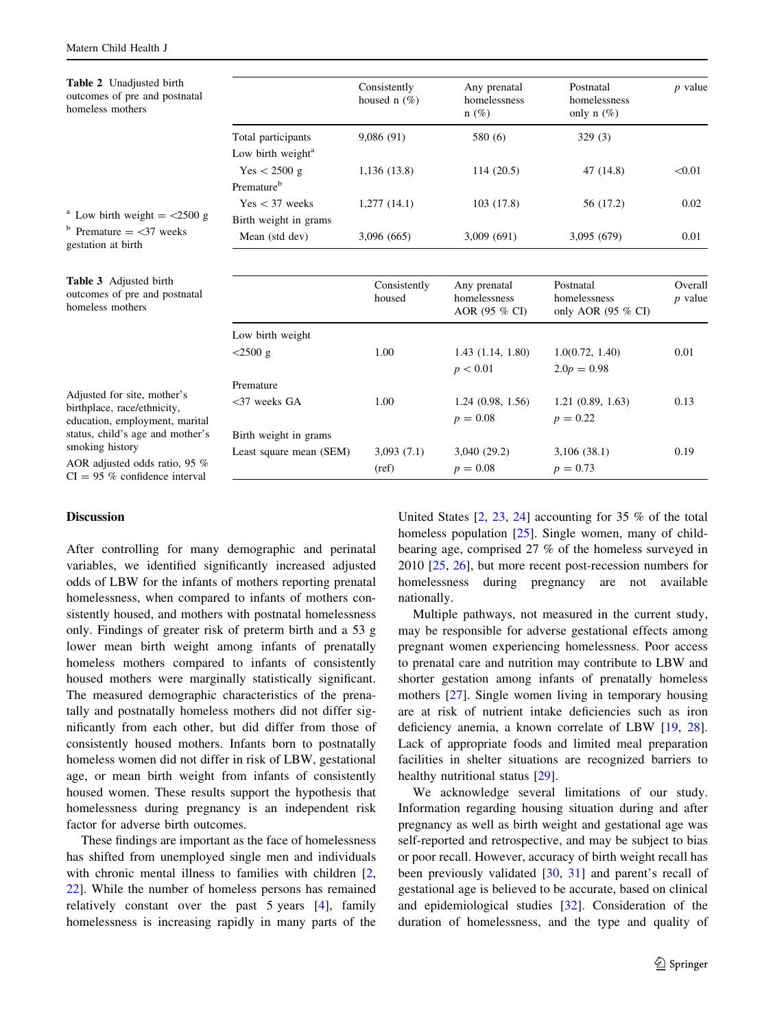<span id="page-4-0"></span>Table 2 Unadjusted birth

| <b>Table 2</b> Unadjusted birth<br>outcomes of pre and postnatal<br>homeless mothers |                               | Consistently<br>housed n $(\%)$ | Any prenatal<br>homelessness<br>$n(\%)$ | Postnatal<br>homelessness<br>only n $(\%)$ | $p$ value |
|--------------------------------------------------------------------------------------|-------------------------------|---------------------------------|-----------------------------------------|--------------------------------------------|-----------|
|                                                                                      | Total participants            | 9,086(91)                       | 580 (6)                                 | 329(3)                                     |           |
|                                                                                      | Low birth weight <sup>a</sup> |                                 |                                         |                                            |           |
|                                                                                      | Yes < 2500 g                  | 1,136(13.8)                     | 114(20.5)                               | 47 (14.8)                                  | < 0.01    |
|                                                                                      | Premature <sup>b</sup>        |                                 |                                         |                                            |           |
|                                                                                      | Yes < 37 weeks                | 1,277(14.1)                     | 103(17.8)                               | 56 (17.2)                                  | 0.02      |
| <sup>a</sup> Low birth weight $=$ <2500 g                                            | Birth weight in grams         |                                 |                                         |                                            |           |
| $b$ Premature $=$ <37 weeks<br>gestation at birth                                    | Mean (std dev)                | 3,096 (665)                     | 3,009 (691)                             | 3,095 (679)                                | 0.01      |
| Table 3 Adjusted birth                                                               |                               | Consistently                    | Any prenatal                            | Postnatal                                  | Overall   |
| outcomes of pre and postnatal<br>homeless mothers                                    |                               | housed                          | homelessness<br>AOR (95 % CI)           | homelessness<br>only AOR (95 % CI)         | $p$ value |
|                                                                                      | Low birth weight              |                                 |                                         |                                            |           |
|                                                                                      | $<$ 2500 g                    | 1.00                            | 1.43(1.14, 1.80)                        | 1.0(0.72, 1.40)                            | 0.01      |
|                                                                                      |                               |                                 | p < 0.01                                | $2.0p = 0.98$                              |           |
|                                                                                      | Premature                     |                                 |                                         |                                            |           |
| Adjusted for site, mother's<br>birthplace, race/ethnicity,                           | $<$ 37 weeks GA               | 1.00                            | 1.24(0.98, 1.56)                        | 1.21(0.89, 1.63)                           | 0.13      |
| education, employment, marital                                                       |                               |                                 | $p = 0.08$                              | $p = 0.22$                                 |           |
| status, child's age and mother's                                                     | Birth weight in grams         |                                 |                                         |                                            |           |
| smoking history                                                                      | Least square mean (SEM)       | 3,093(7.1)                      | 3,040(29.2)                             | 3,106(38.1)                                | 0.19      |
| AOR adjusted odds ratio, 95 %                                                        |                               | (ref)                           | $p = 0.08$                              | $p = 0.73$                                 |           |

 $CI = 95 %$  confidence interval

# Discussion

After controlling for many demographic and perinatal variables, we identified significantly increased adjusted odds of LBW for the infants of mothers reporting prenatal homelessness, when compared to infants of mothers consistently housed, and mothers with postnatal homelessness only. Findings of greater risk of preterm birth and a 53 g lower mean birth weight among infants of prenatally homeless mothers compared to infants of consistently housed mothers were marginally statistically significant. The measured demographic characteristics of the prenatally and postnatally homeless mothers did not differ significantly from each other, but did differ from those of consistently housed mothers. Infants born to postnatally homeless women did not differ in risk of LBW, gestational age, or mean birth weight from infants of consistently housed women. These results support the hypothesis that homelessness during pregnancy is an independent risk factor for adverse birth outcomes.

These findings are important as the face of homelessness has shifted from unemployed single men and individuals with chronic mental illness to families with children [[2,](#page-6-0) [22](#page-6-0)]. While the number of homeless persons has remained relatively constant over the past 5 years [[4\]](#page-6-0), family homelessness is increasing rapidly in many parts of the United States [[2,](#page-6-0) [23,](#page-6-0) [24](#page-6-0)] accounting for 35 % of the total homeless population [\[25](#page-6-0)]. Single women, many of childbearing age, comprised 27 % of the homeless surveyed in 2010 [[25,](#page-6-0) [26](#page-6-0)], but more recent post-recession numbers for homelessness during pregnancy are not available nationally.

Multiple pathways, not measured in the current study, may be responsible for adverse gestational effects among pregnant women experiencing homelessness. Poor access to prenatal care and nutrition may contribute to LBW and shorter gestation among infants of prenatally homeless mothers [[27\]](#page-6-0). Single women living in temporary housing are at risk of nutrient intake deficiencies such as iron deficiency anemia, a known correlate of LBW [\[19](#page-6-0), [28](#page-6-0)]. Lack of appropriate foods and limited meal preparation facilities in shelter situations are recognized barriers to healthy nutritional status [[29](#page-6-0)].

We acknowledge several limitations of our study. Information regarding housing situation during and after pregnancy as well as birth weight and gestational age was self-reported and retrospective, and may be subject to bias or poor recall. However, accuracy of birth weight recall has been previously validated [\[30](#page-6-0), [31\]](#page-6-0) and parent's recall of gestational age is believed to be accurate, based on clinical and epidemiological studies [\[32](#page-6-0)]. Consideration of the duration of homelessness, and the type and quality of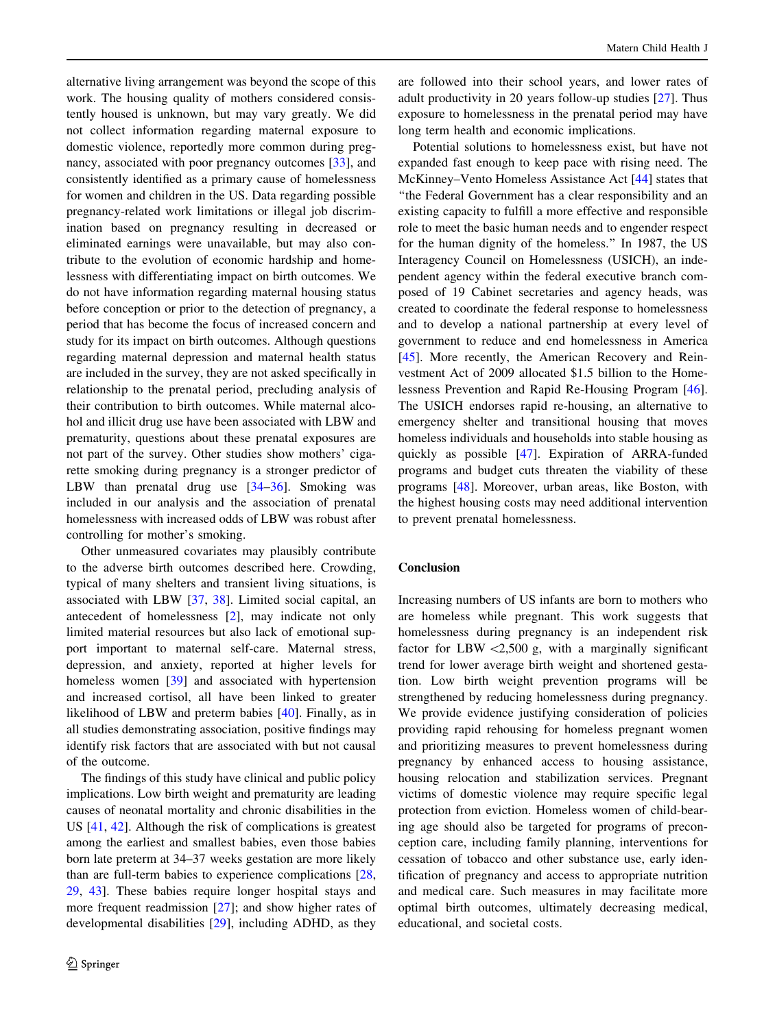alternative living arrangement was beyond the scope of this work. The housing quality of mothers considered consistently housed is unknown, but may vary greatly. We did not collect information regarding maternal exposure to domestic violence, reportedly more common during pregnancy, associated with poor pregnancy outcomes [[33\]](#page-7-0), and consistently identified as a primary cause of homelessness for women and children in the US. Data regarding possible pregnancy-related work limitations or illegal job discrimination based on pregnancy resulting in decreased or eliminated earnings were unavailable, but may also contribute to the evolution of economic hardship and homelessness with differentiating impact on birth outcomes. We do not have information regarding maternal housing status before conception or prior to the detection of pregnancy, a period that has become the focus of increased concern and study for its impact on birth outcomes. Although questions regarding maternal depression and maternal health status are included in the survey, they are not asked specifically in relationship to the prenatal period, precluding analysis of their contribution to birth outcomes. While maternal alcohol and illicit drug use have been associated with LBW and prematurity, questions about these prenatal exposures are not part of the survey. Other studies show mothers' cigarette smoking during pregnancy is a stronger predictor of LBW than prenatal drug use [[34–36\]](#page-7-0). Smoking was included in our analysis and the association of prenatal homelessness with increased odds of LBW was robust after controlling for mother's smoking.

Other unmeasured covariates may plausibly contribute to the adverse birth outcomes described here. Crowding, typical of many shelters and transient living situations, is associated with LBW [\[37](#page-7-0), [38\]](#page-7-0). Limited social capital, an antecedent of homelessness [[2\]](#page-6-0), may indicate not only limited material resources but also lack of emotional support important to maternal self-care. Maternal stress, depression, and anxiety, reported at higher levels for homeless women [[39\]](#page-7-0) and associated with hypertension and increased cortisol, all have been linked to greater likelihood of LBW and preterm babies [[40](#page-7-0)]. Finally, as in all studies demonstrating association, positive findings may identify risk factors that are associated with but not causal of the outcome.

The findings of this study have clinical and public policy implications. Low birth weight and prematurity are leading causes of neonatal mortality and chronic disabilities in the US [[41,](#page-7-0) [42](#page-7-0)]. Although the risk of complications is greatest among the earliest and smallest babies, even those babies born late preterm at 34–37 weeks gestation are more likely than are full-term babies to experience complications [[28,](#page-6-0) [29,](#page-6-0) [43\]](#page-7-0). These babies require longer hospital stays and more frequent readmission [\[27](#page-6-0)]; and show higher rates of developmental disabilities [\[29](#page-6-0)], including ADHD, as they

are followed into their school years, and lower rates of adult productivity in 20 years follow-up studies [[27\]](#page-6-0). Thus exposure to homelessness in the prenatal period may have long term health and economic implications.

Potential solutions to homelessness exist, but have not expanded fast enough to keep pace with rising need. The McKinney–Vento Homeless Assistance Act [\[44](#page-7-0)] states that ''the Federal Government has a clear responsibility and an existing capacity to fulfill a more effective and responsible role to meet the basic human needs and to engender respect for the human dignity of the homeless.'' In 1987, the US Interagency Council on Homelessness (USICH), an independent agency within the federal executive branch composed of 19 Cabinet secretaries and agency heads, was created to coordinate the federal response to homelessness and to develop a national partnership at every level of government to reduce and end homelessness in America [\[45](#page-7-0)]. More recently, the American Recovery and Reinvestment Act of 2009 allocated \$1.5 billion to the Homelessness Prevention and Rapid Re-Housing Program [\[46](#page-7-0)]. The USICH endorses rapid re-housing, an alternative to emergency shelter and transitional housing that moves homeless individuals and households into stable housing as quickly as possible [[47\]](#page-7-0). Expiration of ARRA-funded programs and budget cuts threaten the viability of these programs [\[48](#page-7-0)]. Moreover, urban areas, like Boston, with the highest housing costs may need additional intervention to prevent prenatal homelessness.

## Conclusion

Increasing numbers of US infants are born to mothers who are homeless while pregnant. This work suggests that homelessness during pregnancy is an independent risk factor for LBW  $\langle 2,500 \text{ g}$ , with a marginally significant trend for lower average birth weight and shortened gestation. Low birth weight prevention programs will be strengthened by reducing homelessness during pregnancy. We provide evidence justifying consideration of policies providing rapid rehousing for homeless pregnant women and prioritizing measures to prevent homelessness during pregnancy by enhanced access to housing assistance, housing relocation and stabilization services. Pregnant victims of domestic violence may require specific legal protection from eviction. Homeless women of child-bearing age should also be targeted for programs of preconception care, including family planning, interventions for cessation of tobacco and other substance use, early identification of pregnancy and access to appropriate nutrition and medical care. Such measures in may facilitate more optimal birth outcomes, ultimately decreasing medical, educational, and societal costs.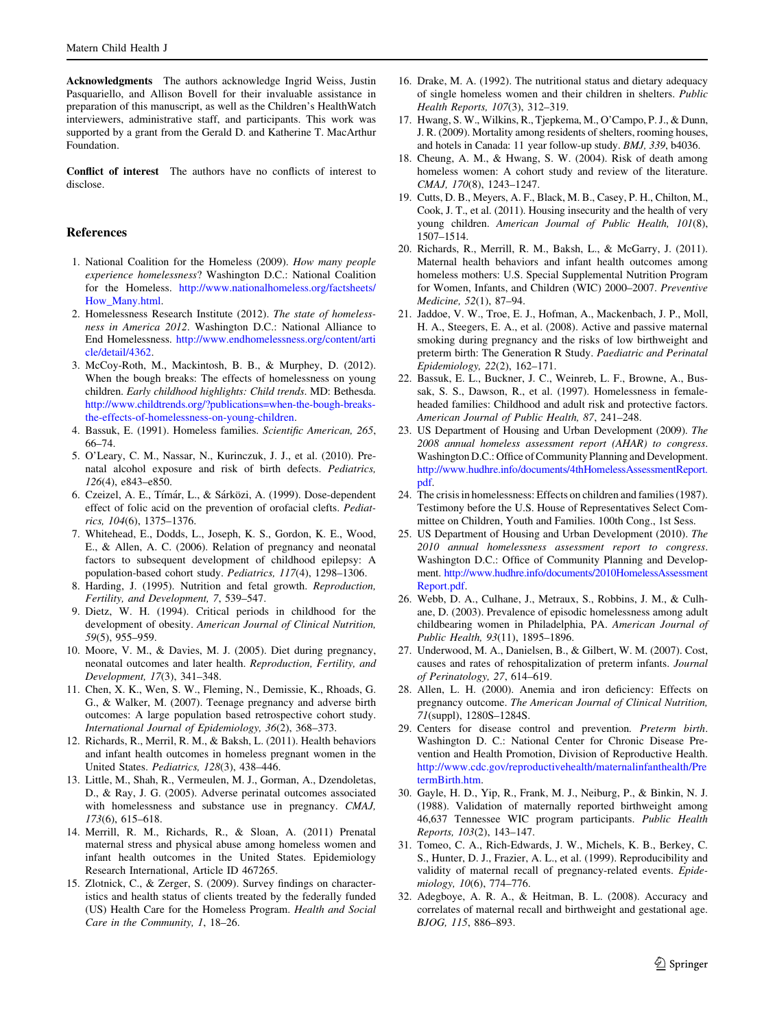<span id="page-6-0"></span>Acknowledgments The authors acknowledge Ingrid Weiss, Justin Pasquariello, and Allison Bovell for their invaluable assistance in preparation of this manuscript, as well as the Children's HealthWatch interviewers, administrative staff, and participants. This work was supported by a grant from the Gerald D. and Katherine T. MacArthur Foundation.

Conflict of interest The authors have no conflicts of interest to disclose.

### References

- 1. National Coalition for the Homeless (2009). How many people experience homelessness? Washington D.C.: National Coalition for the Homeless. [http://www.nationalhomeless.org/factsheets/](http://www.nationalhomeless.org/factsheets/How_Many.html) [How\\_Many.html.](http://www.nationalhomeless.org/factsheets/How_Many.html)
- 2. Homelessness Research Institute (2012). The state of homelessness in America 2012. Washington D.C.: National Alliance to End Homelessness. [http://www.endhomelessness.org/content/arti](http://www.endhomelessness.org/content/article/detail/4362) [cle/detail/4362](http://www.endhomelessness.org/content/article/detail/4362).
- 3. McCoy-Roth, M., Mackintosh, B. B., & Murphey, D. (2012). When the bough breaks: The effects of homelessness on young children. Early childhood highlights: Child trends. MD: Bethesda. [http://www.childtrends.org/?publications=when-the-bough-breaks](http://www.childtrends.org/?publications=when-the-bough-breaks-the-effects-of-homelessness-on-young-children)[the-effects-of-homelessness-on-young-children](http://www.childtrends.org/?publications=when-the-bough-breaks-the-effects-of-homelessness-on-young-children).
- 4. Bassuk, E. (1991). Homeless families. Scientific American, 265, 66–74.
- 5. O'Leary, C. M., Nassar, N., Kurinczuk, J. J., et al. (2010). Prenatal alcohol exposure and risk of birth defects. Pediatrics, 126(4), e843–e850.
- 6. Czeizel, A. E., Tímár, L., & Sárközi, A. (1999). Dose-dependent effect of folic acid on the prevention of orofacial clefts. Pediatrics, 104(6), 1375–1376.
- 7. Whitehead, E., Dodds, L., Joseph, K. S., Gordon, K. E., Wood, E., & Allen, A. C. (2006). Relation of pregnancy and neonatal factors to subsequent development of childhood epilepsy: A population-based cohort study. Pediatrics, 117(4), 1298–1306.
- 8. Harding, J. (1995). Nutrition and fetal growth. Reproduction, Fertility, and Development, 7, 539–547.
- 9. Dietz, W. H. (1994). Critical periods in childhood for the development of obesity. American Journal of Clinical Nutrition, 59(5), 955–959.
- 10. Moore, V. M., & Davies, M. J. (2005). Diet during pregnancy, neonatal outcomes and later health. Reproduction, Fertility, and Development, 17(3), 341–348.
- 11. Chen, X. K., Wen, S. W., Fleming, N., Demissie, K., Rhoads, G. G., & Walker, M. (2007). Teenage pregnancy and adverse birth outcomes: A large population based retrospective cohort study. International Journal of Epidemiology, 36(2), 368–373.
- 12. Richards, R., Merril, R. M., & Baksh, L. (2011). Health behaviors and infant health outcomes in homeless pregnant women in the United States. Pediatrics, 128(3), 438–446.
- 13. Little, M., Shah, R., Vermeulen, M. J., Gorman, A., Dzendoletas, D., & Ray, J. G. (2005). Adverse perinatal outcomes associated with homelessness and substance use in pregnancy. CMAJ, 173(6), 615–618.
- 14. Merrill, R. M., Richards, R., & Sloan, A. (2011) Prenatal maternal stress and physical abuse among homeless women and infant health outcomes in the United States. Epidemiology Research International, Article ID 467265.
- 15. Zlotnick, C., & Zerger, S. (2009). Survey findings on characteristics and health status of clients treated by the federally funded (US) Health Care for the Homeless Program. Health and Social Care in the Community, 1, 18–26.
- 16. Drake, M. A. (1992). The nutritional status and dietary adequacy of single homeless women and their children in shelters. Public Health Reports, 107(3), 312–319.
- 17. Hwang, S. W., Wilkins, R., Tjepkema, M., O'Campo, P. J., & Dunn, J. R. (2009). Mortality among residents of shelters, rooming houses, and hotels in Canada: 11 year follow-up study. BMJ, 339, b4036.
- 18. Cheung, A. M., & Hwang, S. W. (2004). Risk of death among homeless women: A cohort study and review of the literature. CMAJ, 170(8), 1243–1247.
- 19. Cutts, D. B., Meyers, A. F., Black, M. B., Casey, P. H., Chilton, M., Cook, J. T., et al. (2011). Housing insecurity and the health of very young children. American Journal of Public Health, 101(8), 1507–1514.
- 20. Richards, R., Merrill, R. M., Baksh, L., & McGarry, J. (2011). Maternal health behaviors and infant health outcomes among homeless mothers: U.S. Special Supplemental Nutrition Program for Women, Infants, and Children (WIC) 2000–2007. Preventive Medicine, 52(1), 87–94.
- 21. Jaddoe, V. W., Troe, E. J., Hofman, A., Mackenbach, J. P., Moll, H. A., Steegers, E. A., et al. (2008). Active and passive maternal smoking during pregnancy and the risks of low birthweight and preterm birth: The Generation R Study. Paediatric and Perinatal Epidemiology, 22(2), 162–171.
- 22. Bassuk, E. L., Buckner, J. C., Weinreb, L. F., Browne, A., Bussak, S. S., Dawson, R., et al. (1997). Homelessness in femaleheaded families: Childhood and adult risk and protective factors. American Journal of Public Health, 87, 241–248.
- 23. US Department of Housing and Urban Development (2009). The 2008 annual homeless assessment report (AHAR) to congress. Washington D.C.: Office of Community Planning and Development. [http://www.hudhre.info/documents/4thHomelessAssessmentReport.](http://www.hudhre.info/documents/4thHomelessAssessmentReport.pdf) [pdf.](http://www.hudhre.info/documents/4thHomelessAssessmentReport.pdf)
- 24. The crisis in homelessness: Effects on children and families (1987). Testimony before the U.S. House of Representatives Select Committee on Children, Youth and Families. 100th Cong., 1st Sess.
- 25. US Department of Housing and Urban Development (2010). The 2010 annual homelessness assessment report to congress. Washington D.C.: Office of Community Planning and Development. [http://www.hudhre.info/documents/2010HomelessAssessment](http://www.hudhre.info/documents/2010HomelessAssessmentReport.pdf) [Report.pdf](http://www.hudhre.info/documents/2010HomelessAssessmentReport.pdf).
- 26. Webb, D. A., Culhane, J., Metraux, S., Robbins, J. M., & Culhane, D. (2003). Prevalence of episodic homelessness among adult childbearing women in Philadelphia, PA. American Journal of Public Health, 93(11), 1895–1896.
- 27. Underwood, M. A., Danielsen, B., & Gilbert, W. M. (2007). Cost, causes and rates of rehospitalization of preterm infants. Journal of Perinatology, 27, 614–619.
- 28. Allen, L. H. (2000). Anemia and iron deficiency: Effects on pregnancy outcome. The American Journal of Clinical Nutrition, 71(suppl), 1280S–1284S.
- 29. Centers for disease control and prevention. Preterm birth. Washington D. C.: National Center for Chronic Disease Prevention and Health Promotion, Division of Reproductive Health. [http://www.cdc.gov/reproductivehealth/maternalinfanthealth/Pre](http://www.cdc.gov/reproductivehealth/maternalinfanthealth/PretermBirth.htm) [termBirth.htm.](http://www.cdc.gov/reproductivehealth/maternalinfanthealth/PretermBirth.htm)
- 30. Gayle, H. D., Yip, R., Frank, M. J., Neiburg, P., & Binkin, N. J. (1988). Validation of maternally reported birthweight among 46,637 Tennessee WIC program participants. Public Health Reports, 103(2), 143–147.
- 31. Tomeo, C. A., Rich-Edwards, J. W., Michels, K. B., Berkey, C. S., Hunter, D. J., Frazier, A. L., et al. (1999). Reproducibility and validity of maternal recall of pregnancy-related events. Epidemiology, 10(6), 774–776.
- 32. Adegboye, A. R. A., & Heitman, B. L. (2008). Accuracy and correlates of maternal recall and birthweight and gestational age. BJOG, 115, 886–893.